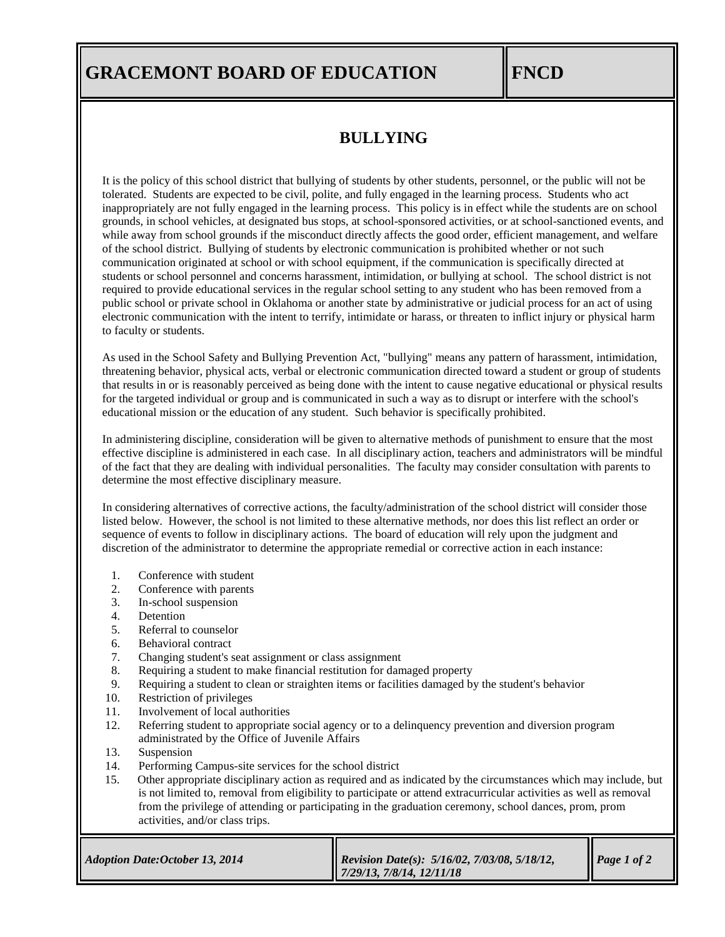## **GRACEMONT BOARD OF EDUCATION FINCD**

## **BULLYING**

It is the policy of this school district that bullying of students by other students, personnel, or the public will not be tolerated. Students are expected to be civil, polite, and fully engaged in the learning process. Students who act inappropriately are not fully engaged in the learning process. This policy is in effect while the students are on school grounds, in school vehicles, at designated bus stops, at school-sponsored activities, or at school-sanctioned events, and while away from school grounds if the misconduct directly affects the good order, efficient management, and welfare of the school district. Bullying of students by electronic communication is prohibited whether or not such communication originated at school or with school equipment, if the communication is specifically directed at students or school personnel and concerns harassment, intimidation, or bullying at school. The school district is not required to provide educational services in the regular school setting to any student who has been removed from a public school or private school in Oklahoma or another state by administrative or judicial process for an act of using electronic communication with the intent to terrify, intimidate or harass, or threaten to inflict injury or physical harm to faculty or students.

As used in the School Safety and Bullying Prevention Act, "bullying" means any pattern of harassment, intimidation, threatening behavior, physical acts, verbal or electronic communication directed toward a student or group of students that results in or is reasonably perceived as being done with the intent to cause negative educational or physical results for the targeted individual or group and is communicated in such a way as to disrupt or interfere with the school's educational mission or the education of any student. Such behavior is specifically prohibited.

In administering discipline, consideration will be given to alternative methods of punishment to ensure that the most effective discipline is administered in each case. In all disciplinary action, teachers and administrators will be mindful of the fact that they are dealing with individual personalities. The faculty may consider consultation with parents to determine the most effective disciplinary measure.

In considering alternatives of corrective actions, the faculty/administration of the school district will consider those listed below. However, the school is not limited to these alternative methods, nor does this list reflect an order or sequence of events to follow in disciplinary actions. The board of education will rely upon the judgment and discretion of the administrator to determine the appropriate remedial or corrective action in each instance:

- 1. Conference with student
- 2. Conference with parents
- 3. In-school suspension
- 4. Detention
- 5. Referral to counselor
- 6. Behavioral contract
- 7. Changing student's seat assignment or class assignment
- 8. Requiring a student to make financial restitution for damaged property
- 9. Requiring a student to clean or straighten items or facilities damaged by the student's behavior
- 10. Restriction of privileges
- 11. Involvement of local authorities
- 12. Referring student to appropriate social agency or to a delinquency prevention and diversion program administrated by the Office of Juvenile Affairs
- 13. Suspension
- 14. Performing Campus-site services for the school district
- 15. Other appropriate disciplinary action as required and as indicated by the circumstances which may include, but is not limited to, removal from eligibility to participate or attend extracurricular activities as well as removal from the privilege of attending or participating in the graduation ceremony, school dances, prom, prom activities, and/or class trips.

| <b>Adoption Date: October 13, 2014</b> | Revision Date(s): $5/16/02$ , $7/03/08$ , $5/18/12$ ,<br>$\parallel$ 7/29/13, 7/8/14, 12/11/18 | $\blacksquare$ Page 1 of 2 |
|----------------------------------------|------------------------------------------------------------------------------------------------|----------------------------|
|----------------------------------------|------------------------------------------------------------------------------------------------|----------------------------|